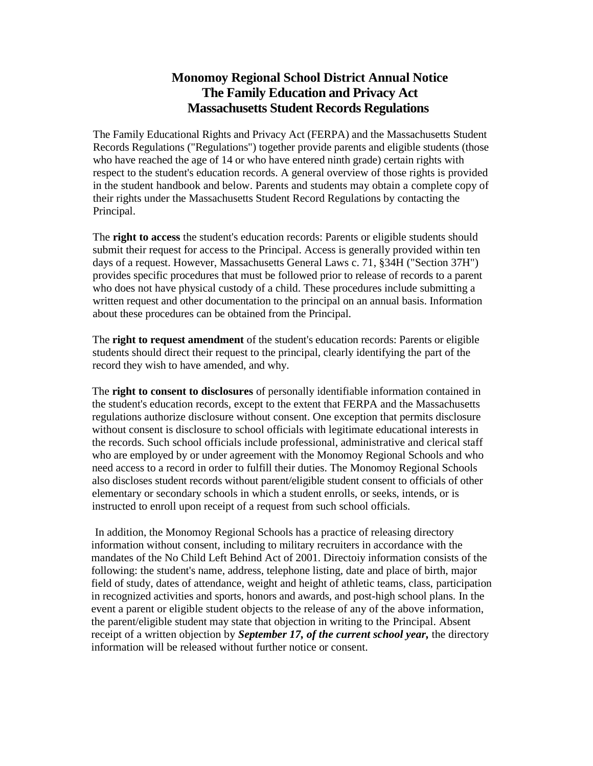## **Monomoy Regional School District Annual Notice The Family Education and Privacy Act Massachusetts Student Records Regulations**

The Family Educational Rights and Privacy Act (FERPA) and the Massachusetts Student Records Regulations ("Regulations") together provide parents and eligible students (those who have reached the age of 14 or who have entered ninth grade) certain rights with respect to the student's education records. A general overview of those rights is provided in the student handbook and below. Parents and students may obtain a complete copy of their rights under the Massachusetts Student Record Regulations by contacting the Principal.

The **right to access** the student's education records: Parents or eligible students should submit their request for access to the Principal. Access is generally provided within ten days of a request. However, Massachusetts General Laws c. 71, §34H ("Section 37H") provides specific procedures that must be followed prior to release of records to a parent who does not have physical custody of a child. These procedures include submitting a written request and other documentation to the principal on an annual basis. Information about these procedures can be obtained from the Principal.

The **right to request amendment** of the student's education records: Parents or eligible students should direct their request to the principal, clearly identifying the part of the record they wish to have amended, and why.

The **right to consent to disclosures** of personally identifiable information contained in the student's education records, except to the extent that FERPA and the Massachusetts regulations authorize disclosure without consent. One exception that permits disclosure without consent is disclosure to school officials with legitimate educational interests in the records. Such school officials include professional, administrative and clerical staff who are employed by or under agreement with the Monomoy Regional Schools and who need access to a record in order to fulfill their duties. The Monomoy Regional Schools also discloses student records without parent/eligible student consent to officials of other elementary or secondary schools in which a student enrolls, or seeks, intends, or is instructed to enroll upon receipt of a request from such school officials.

In addition, the Monomoy Regional Schools has a practice of releasing directory information without consent, including to military recruiters in accordance with the mandates of the No Child Left Behind Act of 2001. Directoiy information consists of the following: the student's name, address, telephone listing, date and place of birth, major field of study, dates of attendance, weight and height of athletic teams, class, participation in recognized activities and sports, honors and awards, and post-high school plans. In the event a parent or eligible student objects to the release of any of the above information, the parent/eligible student may state that objection in writing to the Principal. Absent receipt of a written objection by *September 17, of the current school year,* the directory information will be released without further notice or consent.